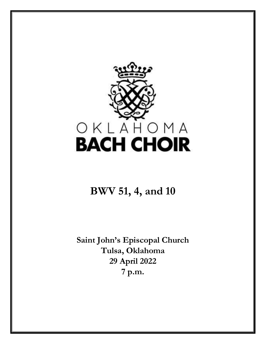

# **BWV 51, 4, and 10**

**Saint John's Episcopal Church Tulsa, Oklahoma 29 April 2022 7 p.m.**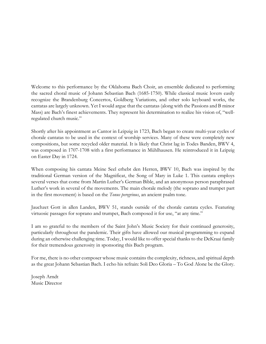Welcome to this performance by the Oklahoma Bach Choir, an ensemble dedicated to performing the sacred choral music of Johann Sebastian Bach (1685-1750). While classical music lovers easily recognize the Brandenburg Concertos, Goldberg Variations, and other solo keyboard works, the cantatas are largely unknown. Yet I would argue that the cantatas (along with the Passions and B minor Mass) are Bach's finest achievements. They represent his determination to realize his vision of, "wellregulated church music."

Shortly after his appointment as Cantor in Leipzig in 1723, Bach began to create multi-year cycles of chorale cantatas to be used in the context of worship services. Many of these were completely new compositions, but some recycled older material. It is likely that Christ lag in Todes Banden, BWV 4, was composed in 1707-1708 with a first performance in Mühlhausen. He reintroduced it in Leipzig on Easter Day in 1724.

When composing his cantata Meine Seel erhebt den Herren, BWV 10, Bach was inspired by the traditional German version of the Magnificat, the Song of Mary in Luke 1. This cantata employs several verses that come from Martin Luther's German Bible, and an anonymous person paraphrased Luther's work in several of the movements. The main chorale melody (the soprano and trumpet part in the first movement) is based on the *Tonus peregrinus*, an ancient psalm tone.

Jauchzet Gott in allen Landen, BWV 51, stands outside of the chorale cantata cycles. Featuring virtuosic passages for soprano and trumpet, Bach composed it for use, "at any time."

I am so grateful to the members of the Saint John's Music Society for their continued generosity, particularly throughout the pandemic. Their gifts have allowed our musical programming to expand during an otherwise challenging time. Today, I would like to offer special thanks to the DeKraai family for their tremendous generosity in sponsoring this Bach program.

For me, there is no other composer whose music contains the complexity, richness, and spiritual depth as the great Johann Sebastian Bach. I echo his refrain: Soli Deo Gloria – To God Alone be the Glory.

Joseph Arndt Music Director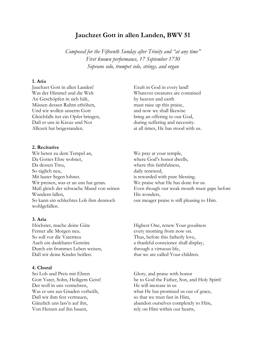# **Jauchzet Gott in allen Landen, BWV 51**

*Composed for the Fifteenth Sunday after Trinity and "at any time" First known performance, 17 September 1730 Soprano solo, trumpet solo, strings, and organ*

#### **1. Aria**

Jauchzet Gott in allen Landen! Was der Himmel und die Welt An Geschöpfen in sich hält, Müssen dessen Ruhm erhöhen, Und wir wollen unserm Gott Gleichfalls itzt ein Opfer bringen, Daß er uns in Kreuz und Not Allezeit hat beigestanden.

#### **2. Recitative**

Wir beten zu dem Tempel an, Da Gottes Ehre wohnet, Da dessen Treu, So täglich neu, Mit lauter Segen lohnet. Wir preisen, was er an uns hat getan. Muß gleich der schwache Mund von seinen Wundern lallen, So kann ein schlechtes Lob ihm dennoch wohlgefallen.

#### **3. Aria**

Höchster, mache deine Güte Ferner alle Morgen neu. So soll vor die Vatertreu Auch ein dankbares Gemüte Durch ein frommes Leben weisen, Daß wir deine Kinder heißen.

### **4. Choral**

Sei Lob und Preis mit Ehren Gott Vater, Sohn, Heiligem Geist! Der woll in uns vermehren, Was er uns aus Gnaden verheißt, Daß wir ihm fest vertrauen, Gänzlich uns lass'n auf ihn, Von Herzen auf ihn bauen,

Exult in God in every land! Whatever creatures are contained by heaven and earth must raise up this praise, and now we shall likewise bring an offering to our God, during suffering and necessity. at all times, He has stood with us.

We pray at your temple, where God's honor dwells, where this faithfulness, daily renewed, is rewarded with pure blessing. We praise what He has done for us. Even though our weak mouth must gape before His wonders, our meager praise is still pleasing to Him.

Highest One, renew Your goodness every morning from now on. Thus, before this fatherly love, a thankful conscience shall display, through a virtuous life, that we are called Your children.

Glory, and praise with honor be to God the Father, Son, and Holy Spirit! He will increase in us what He has promised us out of grace, so that we trust fast in Him, abandon ourselves completely to Him, rely on Him within our hearts,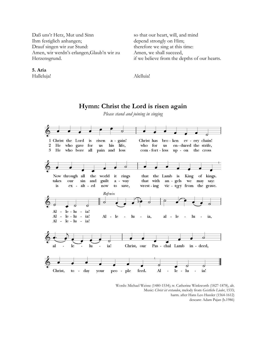Daß uns'r Herz, Mut und Sinn Ihm festiglich anhangen; Drauf singen wir zur Stund: Amen, wir werdn's erlangen,Glaub'n wir zu Herzensgrund.

so that our heart, will, and mind depend strongly on Him; therefore we sing at this time: Amen, we shall succeed, if we believe from the depths of our hearts.

Alelluia!

# **Hymn: Christ the Lord is risen again**

*Please stand and joining in singing*



Words: Michael Weisse (1480-1534); tr. Catherine Winkworth (1827-1878), alt. Music: *Christ ist erstanden*, melody from *Geistliche Lieder*, 1533; harm. after Hans Leo Hassler (1564-1612) descant: Adam Pajan (b.1986)

**5. Aria** Halleluja!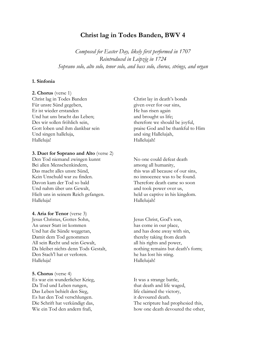# **Christ lag in Todes Banden, BWV 4**

*Composed for Easter Day, likely first performed in 1707 Reintroduced in Leipzig in 1724 Soprano solo, alto solo, tenor solo, and bass solo, chorus, strings, and organ*

#### **1. Sinfonia**

#### **2. Chorus** (verse 1)

Christ lag in Todes Banden Für unsre Sünd gegeben, Er ist wieder erstanden Und hat uns bracht das Leben; Des wir sollen fröhlich sein, Gott loben und ihm dankbar sein Und singen halleluja, Halleluja!

### **3. Duet for Soprano and Alto** (verse 2)

Den Tod niemand zwingen kunnt Bei allen Menschenkindern, Das macht alles unsre Sünd, Kein Unschuld war zu finden. Davon kam der Tod so bald Und nahm über uns Gewalt, Hielt uns in seinem Reich gefangen. Halleluja!

**4. Aria for Tenor** (verse 3) Jesus Christus, Gottes Sohn, An unser Statt ist kommen Und hat die Sünde weggetan, Damit dem Tod genommen All sein Recht und sein Gewalt, Da bleibet nichts denn Tods Gestalt, Den Stach'l hat er verloren. Halleluja!

**5. Chorus** (verse 4) Es war ein wunderlicher Krieg, Da Tod und Leben rungen, Das Leben behielt den Sieg, Es hat den Tod verschlungen. Die Schrift hat verkündigt das, Wie ein Tod den andern fraß,

Christ lay in death's bonds given over for our sins, He has risen again and brought us life; therefore we should be joyful, praise God and be thankful to Him and sing Hallelujah, Hallelujah!

No one could defeat death among all humanity, this was all because of our sins, no innocence was to be found. Therefore death came so soon and took power over us, held us captive in his kingdom. Hallelujah!

Jesus Christ, God's son, has come in our place, and has done away with sin, thereby taking from death all his rights and power, nothing remains but death's form; he has lost his sting. Hallelujah!

It was a strange battle, that death and life waged, life claimed the victory, it devoured death. The scripture had prophesied this, how one death devoured the other,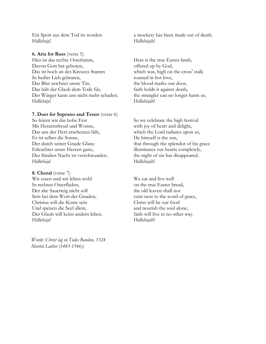Ein Spott aus dem Tod ist worden. Halleluja!

# **6. Aria for Bass** (verse 5)

Hier ist das rechte Osterlamm, Davon Gott hat geboten, Das ist hoch an des Kreuzes Stamm In heißer Lieb gebraten, Das Blut zeichnet unsre Tür, Das hält der Glaub dem Tode für, Der Würger kann uns nicht mehr schaden. Halleluja!

### **7. Duet for Soprano and Tenor** (verse 6)

So feiern wir das hohe Fest Mit Herzensfreud und Wonne, Das uns der Herr erscheinen läßt, Er ist selber die Sonne, Der durch seiner Gnade Glanz Erleuchtet unsre Herzen ganz, Der Sünden Nacht ist verschwunden. Halleluja!

**8. Choral** (verse 7) Wir essen und wir leben wohl In rechten Osterfladen, Der alte Sauerteig nicht soll Sein bei dem Wort der Gnaden, Christus will die Koste sein Und speisen die Seel allein, Der Glaub will keins andern leben. Halleluja!

*Words: Christ lag in Todes Banden, 1524 Martin Luther (1483-1546))*

a mockery has been made out of death. Hallelujah!

Here is the true Easter-lamb, offered up by God, which was, high on the cross' stalk roasted in hot love, the blood marks our door, faith holds it against death, the strangler can no longer harm us. Hallelujah!

So we celebrate the high festival with joy of heart and delight, which the Lord radiates upon us, He himself is the sun, that through the splendor of his grace illuminates our hearts completely, the night of sin has disappeared. Hallelujah!

We eat and live well on the true Easter bread, the old leaven shall not exist next to the word of grace, Christ will be our food and nourish the soul alone, faith will live in no other way. Hallelujah!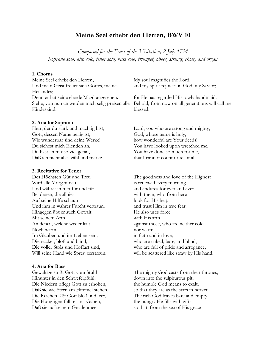# **Meine Seel erhebt den Herren, BWV 10**

*Composed for the Feast of the Visitation, 2 July 1724 Soprano solo, alto solo, tenor solo, bass solo, trumpet, oboes, strings, choir, and organ*

### **1. Chorus**

Meine Seel erhebt den Herren, Und mein Geist freuet sich Gottes, meines Heilandes; Denn er hat seine elende Magd angesehen. Siehe, von nun an werden mich selig preisen alle Kindeskind.

#### **2. Aria for Soprano**

Herr, der du stark und mächtig bist, Gott, dessen Name heilig ist, Wie wunderbar sind deine Werke! Du siehest mich Elenden an, Du hast an mir so viel getan, Daß ich nicht alles zähl und merke.

#### **3. Recitative for Tenor**

Des Höchsten Güt und Treu Wird alle Morgen neu Und währet immer für und für Bei denen, die allhier Auf seine Hilfe schaun Und ihm in wahrer Furcht vertraun. Hingegen übt er auch Gewalt Mit seinem Arm An denen, welche weder kalt Noch warm Im Glauben und im Lieben sein; Die nacket, bloß und blind, Die voller Stolz und Hoffart sind, Will seine Hand wie Spreu zerstreun.

#### **4. Aria for Bass**

Gewaltige stößt Gott vom Stuhl Hinunter in den Schwefelpfuhl; Die Niedern pflegt Gott zu erhöhen, Daß sie wie Stern am Himmel stehen. Die Reichen läßt Gott bloß und leer, Die Hungrigen füllt er mit Gaben, Daß sie auf seinem Gnadenmeer

My soul magnifies the Lord, and my spirit rejoices in God, my Savior;

for He has regarded His lowly handmaid. Behold, from now on all generations will call me blessed.

Lord, you who are strong and mighty, God, whose name is holy, how wonderful are Your deeds! You have looked upon wretched me, You have done so much for me, that I cannot count or tell it all.

The goodness and love of the Highest is renewed every morning and endures for ever and ever with them, who from here look for His help and trust Him in true fear. He also uses force with His arm against those, who are neither cold nor warm in faith and in love; who are naked, bare, and blind, who are full of pride and arrogance, will be scattered like straw by His hand.

The mighty God casts from their thrones, down into the sulphurous pit; the humble God means to exalt, so that they are as the stars in heaven. The rich God leaves bare and empty, the hungry He fills with gifts, so that, from the sea of His grace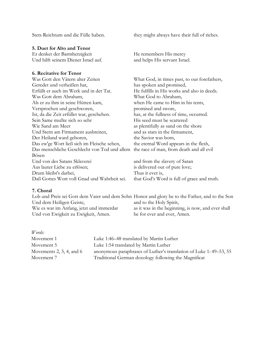### **5. Duet for Alto and Tenor**

Er denket der Barmherzigkeit Und hilft seinem Diener Israel auf.

### **6. Recitative for Tenor**

Was Gott den Vätern alter Zeiten Geredet und verheißen hat, Erfüllt er auch im Werk und in der Tat. Was Gott dem Abraham, Als er zu ihm in seine Hütten kam, Versprochen und geschworen, Ist, da die Zeit erfüllet war, geschehen. Sein Same mußte sich so sehr Wie Sand am Meer Und Stern am Firmament ausbreiten, Der Heiland ward geboren, Das ew'ge Wort ließ sich im Fleische sehen, Das menschliche Geschlecht von Tod und allem the race of man, from death and all evil Bösen Und von des Satans Sklaverei Aus lauter Liebe zu erlösen; Drum bleibt's darbei, Daß Gottes Wort voll Gnad und Wahrheit sei. Thus it ever is,

Stets Reichtum und die Fülle haben. they might always have their full of riches.

He remembers His mercy and helps His servant Israel.

What God, in times past, to our forefathers, has spoken and promised, He fulfills in His works and also in deeds. What God to Abraham, when He came to Him in his tents, promised and swore, has, at the fullness of time, occurred. His seed must be scattered as plentifully as sand on the shore and as stars in the firmament, the Savior was born, the eternal Word appears in the flesh,

and from the slavery of Satan is delivered out of pure love; that God's Word is full of grace and truth.

## **7. Choral**

Lob und Preis sei Gott dem Vater und dem Sohn Honor and glory be to the Father, and to the Son Und dem Heiligen Geiste, Wie es war im Anfang, jetzt und immerdar Und von Ewigkeit zu Ewigkeit, Amen. and to the Holy Spirit, as it was in the beginning, is now, and ever shall be for ever and ever, Amen.

*Words:*

| Movement 1                    | Luke 1:46–48 translated by Martin Luther                          |
|-------------------------------|-------------------------------------------------------------------|
| Movement 5                    | Luke 1:54 translated by Martin Luther                             |
| Movements $2, 3, 4$ , and $6$ | anonymous paraphrases of Luther's translation of Luke 1:49–53, 55 |
| Movement 7                    | Traditional German doxology following the Magnificat              |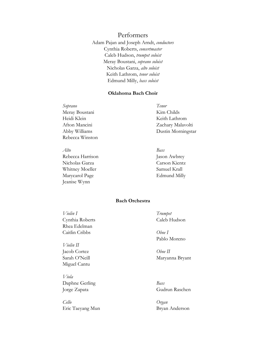# Performers

Adam Pajan and Joseph Arndt, *conductors* Cynthia Roberts, *concertmaster* Caleb Hudson, *trumpet soloist* Meray Boustani, *soprano soloist* Nicholas Garza, *alto soloist* Keith Lathrom, *tenor soloist* Edmund Milly, *bass soloist*

#### **Oklahoma Bach Choir**

*Soprano Tenor* Meray Boustani Kim Childs Heidi Klein Keith Lathrom Rebecca Winston

*Alto Bass* Rebecca Harrison Jason Awbrey Nicholas Garza Carson Kientz Whitney Moeller Samuel Krall Marycarol Page Edmund Milly Jeanise Wynn

Afton Mancini Zachary Malavolti Abby Williams Dustin Morningstar

### **Bach Orchestra**

*Violin I Trumpet* Cynthia Roberts Caleb Hudson Rhea Edelman Caitlin Cribbs *Oboe I*

*Violin II* Jacob Cortez *Oboe II* Miguel Cantu

*Viola* Daphne Gerling *Bass*

*Cello Organ* Eric Taeyang Mun Bryan Anderson

Pablo Moreno

Sarah O'Neill Maryanna Bryant

Jorge Zapata Gudrun Raschen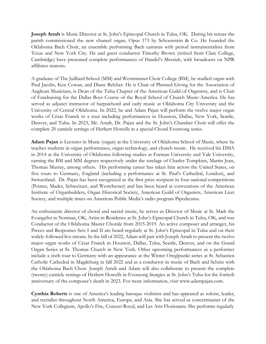**Joseph Arndt** is Music Director at St. John's Episcopal Church in Tulsa, OK. During his tenure the parish commissioned the new chancel organ, Opus 173 by Schoenstein & Co. He founded the Oklahoma Bach Choir, an ensemble performing Bach cantatas with period instrumentalists from Texas and New York City. He and guest conductor Timothy Brown (retired from Clare College, Cambridge) have presented complete performances of Handel's Messiah, with broadcasts on NPR affiliates stations.

A graduate of The Juilliard School (MM) and Westminster Choir College (BM), he studied organ with Paul Jacobs, Ken Cowan, and Diane Belcher. He is Chair of Planned Giving for the Association of Anglican Musicians, is Dean of the Tulsa Chapter of the American Guild of Organists, and is Chair of Fundraising for the Dallas Boys Course of the Royal School of Church Music-America. He has served as adjunct instructor of harpsichord and early music at Oklahoma City University and the University of Central Oklahoma. In 2022, he and Adam Pajan will perform the twelve major organ works of César Franck in a tour including performances in Houston, Dallas, New York, Seattle, Denver, and Tulsa. In 2023, Mr. Arndt, Dr. Pajan and the St. John's Chamber Choir will offer the complete 20 canticle settings of Herbert Howells in a special Choral Evensong series.

**Adam Pajan** is Lecturer in Music (organ) at the University of Oklahoma School of Music, where he teaches students in organ performance, organ technology, and church music. He received his DMA in 2014 at the University of Oklahoma following studies at Furman University and Yale University, earning the BM and MM degrees respectively under the tutelage of Charles Tompkins, Martin Jean, Thomas Murray, among others. His performing career has taken him across the United States, on five tours to Germany, England (including a performance at St. Paul's Cathedral, London), and Switzerland. Dr. Pajan has been recognized as the first prize recipient in four national competitions (Poister, Mader, Schweitzer, and Westchester) and has been heard at conventions of the American Institute of Organbuilders, Organ Historical Society, American Guild of Organists, American Liszt Society, and multiple times on American Public Media's radio program Pipedreams.

An enthusiastic director of choral and sacred music, he serves as Director of Music at St. Mark the Evangelist in Norman, OK, Artist in Residence at St. John's Episcopal Church in Tulsa, OK, and was Conductor of the Oklahoma Master Chorale from 2015-2019. An active composer and arranger, his Preces and Responses Sets I and II are heard regularly at St. John's Episcopal in Tulsa and on their widely-followed live stream. In the fall of 2022, Adam will pair with Joseph Arndt to present the twelve major organ works of César Franck in Houston, Dallas, Tulsa, Seattle, Denver, and on the Grand Organ Series at St. Thomas Church in New York. Other upcoming performances as a performer include a sixth tour to Germany with an appearance at the Winter Oreglpunkt series at St. Sebastien Catholic Cathedral in Magdeburg in fall 2022 and as a conductor in music of Bach and Schütz with the Oklahoma Bach Choir. Joseph Arndt and Adam will also collaborate to present the complete (twenty) canticle settings of Herbert Howells in Evensong liturgies at St. John's Tulsa for the fortieth anniversary of the composer's death in 2023. For more information, visit www.adampajan.com.

**Cynthia Roberts** is one of America's leading baroque violinists and has appeared as soloist, leader, and recitalist throughout North America, Europe, and Asia. She has served as concertmaster of the New York Collegium, Apollo's Fire, Concert Royal, and Les Arts Florissants. She performs regularly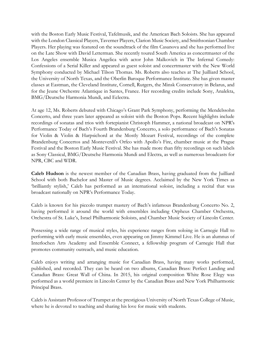with the Boston Early Music Festival, Tafelmusik, and the American Bach Soloists. She has appeared with the London Classical Players, Taverner Players, Clarion Music Society, and Smithsonian Chamber Players. Her playing was featured on the soundtrack of the film Casanova and she has performed live on the Late Show with David Letterman. She recently toured South America as concertmaster of the Los Angeles ensemble Musica Angelica with actor John Malkovich in The Infernal Comedy: Confessions of a Serial Killer and appeared as guest soloist and concertmaster with the New World Symphony conducted by Michael Tilson Thomas. Ms. Roberts also teaches at The Juilliard School, the University of North Texas, and the Oberlin Baroque Performance Institute. She has given master classes at Eastman, the Cleveland Institute, Cornell, Rutgers, the Minsk Conservatory in Belarus, and for the Jeune Orchestre Atlantique in Santes, France. Her recording credits include Sony, Analekta, BMG/Deutsche Harmonia Mundi, and Eclectra.

At age 12, Ms. Roberts debuted with Chicago's Grant Park Symphony, performing the Mendelssohn Concerto, and three years later appeared as soloist with the Boston Pops. Recent highlights include recordings of sonatas and trios with fortepianist Christoph Hammer, a national broadcast on NPR's Performance Today of Bach's Fourth Brandenburg Concerto, a solo performance of Bach's Sonatas for Violin & Violin & Harpsichord at the Mostly Mozart Festival, recordings of the complete Brandenburg Concertos and Monteverdi's Orfeo with Apollo's Fire, chamber music at the Prague Festival and the Boston Early Music Festival. She has made more than fifty recordings on such labels as Sony Classical, BMG/Deutsche Harmonia Mundi and Electra, as well as numerous broadcasts for NPR, CBC and WDR.

**Caleb Hudson** is the newest member of the Canadian Brass, having graduated from the Juilliard School with both Bachelor and Master of Music degrees. Acclaimed by the New York Times as 'brilliantly stylish,' Caleb has performed as an international soloist, including a recital that was broadcast nationally on NPR's Performance Today.

Caleb is known for his piccolo trumpet mastery of Bach's infamous Brandenburg Concerto No. 2, having performed it around the world with ensembles including Orpheus Chamber Orchestra, Orchestra of St. Luke's, Israel Philharmonic Soloists, and Chamber Music Society of Lincoln Center.

Possessing a wide range of musical styles, his experience ranges from soloing in Carnegie Hall to performing with early music ensembles, even appearing on Jimmy Kimmel Live. He is an alumnus of Interlochen Arts Academy and Ensemble Connect, a fellowship program of Carnegie Hall that promotes community outreach, and music education.

Caleb enjoys writing and arranging music for Canadian Brass, having many works performed, published, and recorded. They can be heard on two albums, Canadian Brass: Perfect Landing and Canadian Brass: Great Wall of China. In 2015, his original composition White Rose Elegy was performed as a world premiere in Lincoln Center by the Canadian Brass and New York Philharmonic Principal Brass.

Caleb is Assistant Professor of Trumpet at the prestigious University of North Texas College of Music, where he is devoted to teaching and sharing his love for music with students.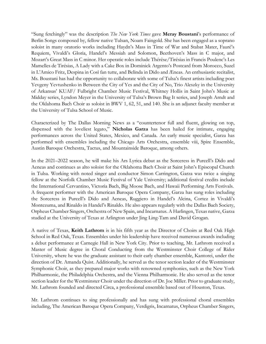"Sung fetchingly" was the description *The New York Times* gave **Meray Boustani**'s performance of Berlin Songs composed by, fellow native Tulsan, Noam Faingold. She has been engaged as a soprano soloist in many oratorio works including Haydn's Mass in Time of War and Stabat Mater, Fauré's Requiem, Vivaldi's Gloria, Handel's Messiah and Solomon, Beethoven's Mass in C major, and Mozart's Great Mass in C minor. Her operatic roles include Thérèse/Tirésias in Francis Poulenc's Les Mamelles de Tirésias, A Lady with a Cake Box in Dominick Argento's Postcard from Morocco, Suzel in L'Amico Fritz, Despina in Così fan tutte, and Belinda in Dido and Æneas. An enthusiastic recitalist, Ms. Boustani has had the opportunity to collaborate with some of Tulsa's finest artists including poet Yevgeny Yevtushenko in Between the City of Yes and the City of No, Trio Aleszky in the University of Arkansas' KUAF/ Fulbright Chamber Music Festival, Whitney Hollis in Saint John's Music at Midday series, Lyndon Meyer in the University of Tulsa's Brown Bag It series, and Joseph Arndt and the Oklahoma Bach Choir as soloist in BWV 1, 62, 51, and 140. She is an adjunct faculty member at the University of Tulsa School of Music.

Characterized by The Dallas Morning News as a "countertenor full and fluent, glowing on top, dispensed with the loveliest legato," **Nicholas Garza** has been hailed for intimate, engaging performances across the United States, Mexico, and Canada. An early music specialist, Garza has performed with ensembles including the Chicago Arts Orchestra, ensemble viii, Spire Ensemble, Austin Baroque Orchestra, Tactus, and Mountainside Baroque, among others.

In the 2021–2022 season, he will make his Ars Lyrica debut as the Sorceress in Purcell's Dido and Aeneas and continues as alto soloist for the Oklahoma Bach Choir at Saint John's Episcopal Church in Tulsa. Working with noted singer and conductor Simon Carrington, Garza was twice a singing fellow at the Norfolk Chamber Music Festival of Yale University; additional festival credits include the International Cervantino, Victoria Bach, Big Moose Bach, and Hawaii Performing Arts Festivals. A frequent performer with the American Baroque Opera Company, Garza has sung roles including the Sorceress in Purcell's Dido and Aeneas, Ruggiero in Handel's Alcina, Cortez in Vivaldi's Montezuma, and Rinaldo in Handel's Rinaldo. He also appears regularly with the Dallas Bach Society, Orpheus Chamber Singers, Orchestra of New Spain, and Incarnatus. A Harlingen, Texas native, Garza studied at the University of Texas at Arlington under Jing Ling-Tam and David Grogan.

A native of Texas, **Keith Lathrom** is in his fifth year as the Director of Choirs at Red Oak High School in Red Oak, Texas. Ensembles under his leadership have received numerous awards including a debut performance at Carnegie Hall in New York City. Prior to teaching, Mr. Lathrom received a Master of Music degree in Choral Conducting from the Westminster Choir College of Rider University, where he was the graduate assistant to their early chamber ensemble, Kantorei, under the direction of Dr. Amanda Quist. Additionally, he served as the tenor section leader of the Westminster Symphonic Choir, as they prepared major works with renowned symphonies, such as the New York Philharmonic, the Philadelphia Orchestra, and the Vienna Philharmonic. He also served as the tenor section leader for the Westminster Choir under the direction of Dr. Joe Miller. Prior to graduate study, Mr. Lathrom founded and directed Circa, a professional ensemble based out of Houston, Texas.

Mr. Lathrom continues to sing professionally and has sung with professional choral ensembles including, The American Baroque Opera Company, Verdigris, Incarnatus, Orpheus Chamber Singers,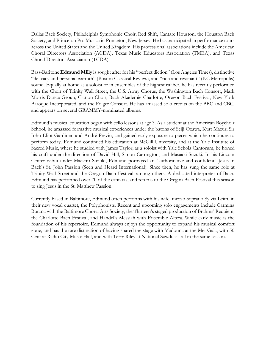Dallas Bach Society, Philadelphia Symphonic Choir, Red Shift, Cantare Houston, the Houston Bach Society, and Princeton Pro Musica in Princeton, New Jersey. He has participated in performance tours across the United States and the United Kingdom. His professional associations include the American Choral Directors Association (ACDA), Texas Music Educators Association (TMEA), and Texas Choral Directors Association (TCDA).

Bass-Baritone **Edmund Milly** is sought after for his "perfect diction" (Los Angeles Times), distinctive "delicacy and personal warmth" (Boston Classical Review), and "rich and resonant" (KC Metropolis) sound. Equally at home as a soloist or in ensembles of the highest caliber, he has recently performed with the Choir of Trinity Wall Street, the U.S. Army Chorus, the Washington Bach Consort, Mark Morris Dance Group, Clarion Choir, Bach Akademie Charlotte, Oregon Bach Festival, New York Baroque Incorporated, and the Folger Consort. He has amassed solo credits on the BBC and CBC, and appears on several GRAMMY-nominated albums.

Edmund's musical education began with cello lessons at age 3. As a student at the American Boychoir School, he amassed formative musical experiences under the batons of Seiji Ozawa, Kurt Mazur, Sir John Eliot Gardiner, and André Previn, and gained early exposure to pieces which he continues to perform today. Edmund continued his education at McGill University, and at the Yale Institute of Sacred Music, where he studied with James Taylor; as a soloist with Yale Schola Cantorum, he honed his craft under the direction of David Hill, Simon Carrington, and Masaaki Suzuki. In his Lincoln Center debut under Maestro Suzuki, Edmund portrayed an "authoritative and confident" Jesus in Bach's St. John Passion (Seen and Heard International). Since then, he has sung the same role at Trinity Wall Street and the Oregon Bach Festival, among others. A dedicated interpreter of Bach, Edmund has performed over 70 of the cantatas, and returns to the Oregon Bach Festival this season to sing Jesus in the St. Matthew Passion.

Currently based in Baltimore, Edmund often performs with his wife, mezzo-soprano Sylvia Leith, in their new vocal quartet, the Polyphonists. Recent and upcoming solo engagements include Carmina Burana with the Baltimore Choral Arts Society, the Thirteen's staged production of Brahms' Requiem, the Charlotte Bach Festival, and Handel's Messiah with Ensemble Altera. While early music is the foundation of his repertoire, Edmund always enjoys the opportunity to expand his musical comfort zone, and has the rare distinction of having shared the stage with Madonna at the Met Gala, with 50 Cent at Radio City Music Hall, and with Terry Riley at National Sawdust - all in the same season.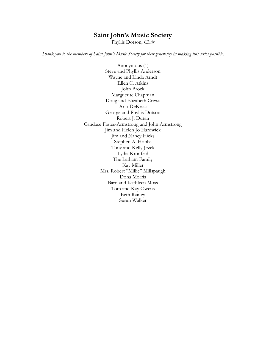# **Saint John's Music Society**

Phyllis Dotson, *Chair*

*Thank you to the members of Saint John's Music Society for their generosity in making this series possible.*

Anonymous (1) Steve and Phyllis Anderson Wayne and Linda Arndt Ellen C. Atkins John Brock Marguerite Chapman Doug and Elizabeth Crews Arlo DeKraai George and Phyllis Dotson Robert J. Duran Candace Frates-Armstrong and John Armstrong Jim and Helen Jo Hardwick Jim and Nancy Hicks Stephen A. Hobbs Tony and Kelly Jezek Lydia Kronfeld The Latham Family Kay Miller Mrs. Robert "Millie" Millspaugh Dona Morris Bard and Kathleen Moss Tom and Kay Owens Beth Rainey Susan Walker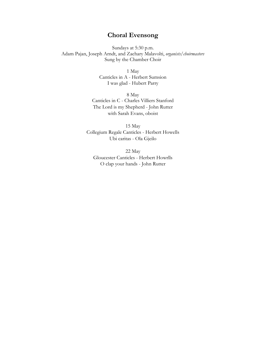# **Choral Evensong**

Sundays at 5:30 p.m. Adam Pajan, Joseph Arndt, and Zachary Malavolti, *organists/choirmasters* Sung by the Chamber Choir

> 1 May Canticles in A - Herbert Sumsion I was glad - Hubert Parry

8 May Canticles in C - Charles Villiers Stanford The Lord is my Shepherd - John Rutter with Sarah Evans, oboist

15 May Collegium Regale Canticles - Herbert Howells Ubi caritas - Ola Gjeilo

22 May Gloucester Canticles - Herbert Howrlls O clap your hands - John Rutter